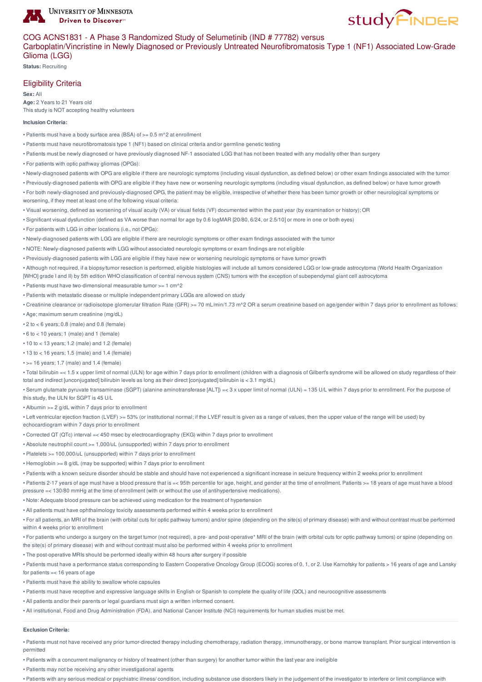

# COG ACNS1831 - A Phase 3 Randomized Study of Selumetinib (IND # 77782) versus

Carboplatin/Vincristine in Newly Diagnosed or Previously Untreated Neurofibromatosis Type 1 (NF1) Associated Low-Grade Glioma (LGG)

**Status:** Recruiting

# Eligibility Criteria

**Sex:** All **Age:** 2 Years to 21 Years old This study is NOT accepting healthy volunteers

#### **Inclusion Criteria:**

- Patients must have a body surface area (BSA) of >= 0.5 m^2 at enrollment
- Patients must have neurofibromatosis type 1 (NF1) based on clinical criteria and/or germline genetic testing
- Patients must be newly diagnosed or have previously diagnosed NF-1 associated LGG that has not been treated with any modality other than surgery
- For patients with optic pathway gliomas (OPGs):
- Newly-diagnosed patients with OPG are eligible if there are neurologic symptoms (including visual dysfunction, as defined below) or other exam findings associated with the tumor
- Previously-diagnosed patients with OPG are eligible if they have new or worsening neurologic symptoms (including visual dysfunction, as defined below) or have tumor growth
- For both newly-diagnosed and previously-diagnosed OPG, the patient may be eligible, irrespective of whether there has been tumor growth or other neurological symptoms or worsening, if they meet at least one of the following visual criteria:
- Visual worsening, defined as worsening of visual acuity (VA) or visual fields (VF) documented within the past year (by examination or history); OR
- Significant visual dysfunction (defined as VA worse than normal for age by 0.6 logMAR [20/80, 6/24, or 2.5/10] or more in one or both eyes)
- For patients with LGG in other locations (i.e., not OPGs):
- Newly-diagnosed patients with LGG are eligible if there are neurologic symptoms or other exam findings associated with the tumor
- NOTE: Newly-diagnosed patients with LGG without associated neurologic symptoms or exam findings are not eligible
- Previously-diagnosed patients with LGG are eligible if they have new or worsening neurologic symptoms or have tumor growth

• Although not required, if a biopsy/tumor resection is performed, eligible histologies will include all tumors considered LGG or low-grade astrocytoma (World Health Organization [WHO] grade I and II) by 5th edition WHO classification of central nervous system (CNS) tumors with the exception of subependymal giant cell astrocytoma

- Patients must have two-dimensional measurable tumor >= 1 cm^2
- Patients with metastatic disease or multiple independent primary LGGs are allowed on study
- Creatinine clearance or radioisotope glomerular filtration Rate (GFR) >= 70 mL/min/1.73 m^2 OR a serum creatinine based on age/gender within 7 days prior to enrollment as follows:
- Age; maximum serum creatinine (mg/dL)
- 2 to < 6 years; 0.8 (male) and 0.8 (female)
- 6 to < 10 years; 1 (male) and 1 (female)
- 10 to < 13 years; 1.2 (male) and 1.2 (female)
- $\cdot$  13 to  $<$  16 years; 1.5 (male) and 1.4 (female)
- $\cdot$  >= 16 years; 1.7 (male) and 1.4 (female)

• Total bilirubin =< 1.5 x upper limit of normal (ULN) for age within 7 days prior to enrollment (children with a diagnosis of Gilbert's syndrome will be allowed on study regardless of their total and indirect  $\ln$  inconjugated] bilirubin levels as long as their direct [conjugated] bilirubin is  $\epsilon$  3.1 mg/dL)

- Serum glutamate pyruvate transaminase (SGPT) (alanine aminotransferase [ALT]) =< 3 x upper limit of normal (ULN) = 135 U/L within 7 days prior to enrollment. For the purpose of this study, the ULN for SGPT is 45 U/L
- Albumin >= 2 g/dL within 7 days prior to enrollment

• Left ventricular ejection fraction (LVEF) >= 53% (or institutional normal; if the LVEF result is given as a range of values, then the upper value of the range will be used) by echocardiogram within 7 days prior to enrollment

- Corrected QT (QTc) interval =< 450 msec by electrocardiography (EKG) within 7 days prior to enrollment
- Absolute neutrophil count >= 1,000/uL (unsupported) within 7 days prior to enrollment
- Platelets >= 100,000/uL (unsupported) within 7 days prior to enrollment
- Hemoglobin >= 8 g/dL (may be supported) within 7 days prior to enrollment
- Patients with a known seizure disorder should be stable and should have not experienced a significant increase in seizure frequency within 2 weeks prior to enrollment

• Patients 2-17 years of age must have a blood pressure that is =< 95th percentile for age, height, and gender at the time of enrollment. Patients >= 18 years of age must have a blood pressure =< 130/80 mmHg at the time of enrollment (with or without the use of antihypertensive medications).

- Note: Adequate blood pressure can be achieved using medication for the treatment of hypertension
- All patients must have ophthalmology toxicity assessments performed within 4 weeks prior to enrollment

• For all patients, an MRI of the brain (with orbital cuts for optic pathway tumors) and/or spine (depending on the site(s) of primary disease) with and without contrast must be performed within 4 weeks prior to enrollment

• For patients who undergo a surgery on the target tumor (not required), a pre- and post-operative\* MRI of the brain (with orbital cuts for optic pathway tumors) or spine (depending on the site(s) of primary disease) with and without contrast must also be performed within 4 weeks prior to enrollment

• The post-operative MRIs should be performed ideally within 48 hours after surgery if possible

• Patients must have a performance status corresponding to Eastern Cooperative Oncology Group (ECOG) scores of 0, 1, or 2. Use Karnofsky for patients > 16 years of age and Lansky for patients =< 16 years of age

• Patients must have the ability to swallow whole capsules

• Patients must have receptive and expressive language skills in English or Spanish to complete the quality of life (QOL) and neurocognitive assessments

• All patients and/or their parents or legal guardians must sign a written informed consent.

• All institutional, Food and Drug Administration (FDA), and National Cancer Institute (NCI) requirements for human studies must be met.

#### **Exclusion Criteria:**

• Patients must not have received any prior tumor-directed therapy including chemotherapy, radiation therapy, immunotherapy, or bone marrow transplant. Prior surgical intervention is permitted

• Patients with a concurrent malignancy or history of treatment (other than surgery) for another tumor within the last year are ineligible

• Patients may not be receiving any other investigational agents

• Patients with any serious medical or psychiatric illness/ condition, including substance use disorders likely in the judgement of the investigator to interfere or limit compliance with